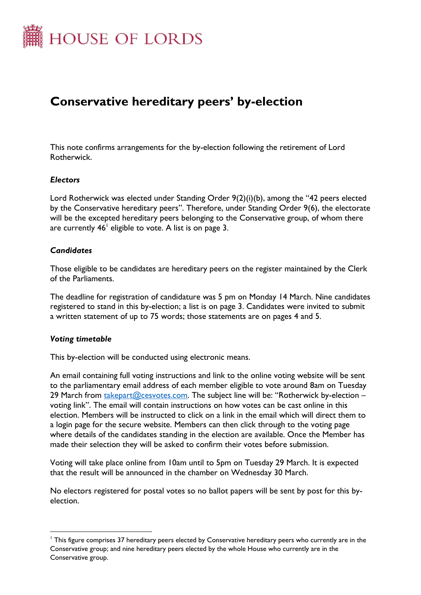

# **Conservative hereditary peers' by-election**

This note confirms arrangements for the by-election following the retirement of Lord Rotherwick.

#### *Electors*

Lord Rotherwick was elected under Standing Order 9(2)(i)(b), among the "42 peers elected by the Conservative hereditary peers". Therefore, under Standing Order 9(6), the electorate will be the excepted hereditary peers belonging to the Conservative group, of whom there are currently  $46^{\dagger}$  eligible to vote. A list is on page 3.

#### *Candidates*

Those eligible to be candidates are hereditary peers on the register maintained by the Clerk of the Parliaments.

The deadline for registration of candidature was 5 pm on Monday 14 March. Nine candidates registered to stand in this by-election; a list is on page 3. Candidates were invited to submit a written statement of up to 75 words; those statements are on pages 4 and 5.

#### *Voting timetable*

This by-election will be conducted using electronic means.

An email containing full voting instructions and link to the online voting website will be sent to the parliamentary email address of each member eligible to vote around 8am on Tuesday 29 March from [takepart@cesvotes.com](file://///hpap04f/HOLAdmin_Rdf$/lebohoa/Documents/takepart@cesvotes.com). The subject line will be: "Rotherwick by-election – voting link". The email will contain instructions on how votes can be cast online in this election. Members will be instructed to click on a link in the email which will direct them to a login page for the secure website. Members can then click through to the voting page where details of the candidates standing in the election are available. Once the Member has made their selection they will be asked to confirm their votes before submission.

Voting will take place online from 10am until to 5pm on Tuesday 29 March. It is expected that the result will be announced in the chamber on Wednesday 30 March.

No electors registered for postal votes so no ballot papers will be sent by post for this byelection.

<sup>&</sup>lt;sup>1</sup> This figure comprises 37 hereditary peers elected by Conservative hereditary peers who currently are in the Conservative group; and nine hereditary peers elected by the whole House who currently are in the Conservative group.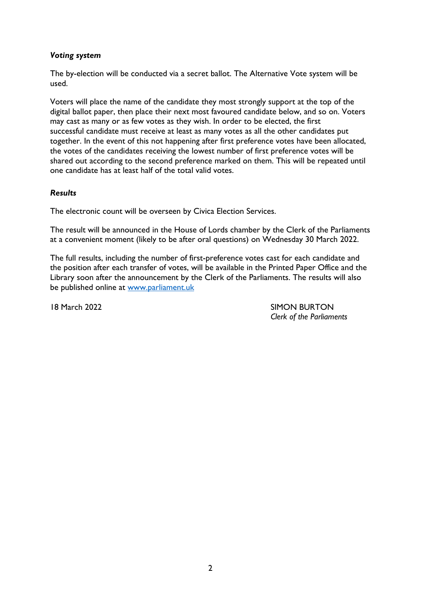### *Voting system*

The by-election will be conducted via a secret ballot. The Alternative Vote system will be used.

Voters will place the name of the candidate they most strongly support at the top of the digital ballot paper, then place their next most favoured candidate below, and so on. Voters may cast as many or as few votes as they wish. In order to be elected, the first successful candidate must receive at least as many votes as all the other candidates put together. In the event of this not happening after first preference votes have been allocated, the votes of the candidates receiving the lowest number of first preference votes will be shared out according to the second preference marked on them. This will be repeated until one candidate has at least half of the total valid votes.

#### *Results*

The electronic count will be overseen by Civica Election Services.

The result will be announced in the House of Lords chamber by the Clerk of the Parliaments at a convenient moment (likely to be after oral questions) on Wednesday 30 March 2022.

The full results, including the number of first-preference votes cast for each candidate and the position after each transfer of votes, will be available in the Printed Paper Office and the Library soon after the announcement by the Clerk of the Parliaments. The results will also be published online at [www.parliament.uk](http://www.parliament.uk/)

18 March 2022 SIMON BURTON *Clerk of the Parliaments*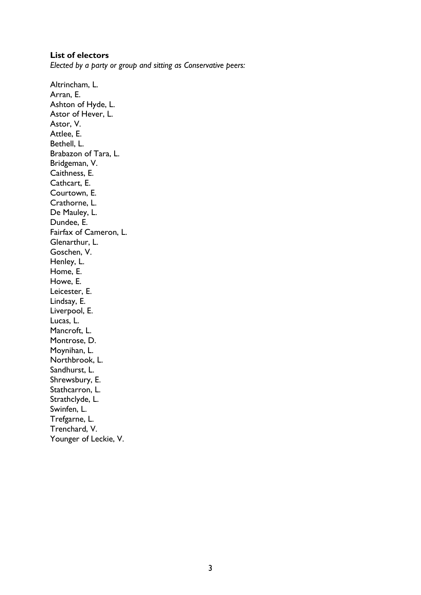#### **List of electors**

*Elected by a party or group and sitting as Conservative peers:*

Altrincham, L. Arran, E. Ashton of Hyde, L. Astor of Hever, L. Astor, V. Attlee, E. Bethell, L. Brabazon of Tara, L. Bridgeman, V. Caithness, E. Cathcart, E. Courtown, E. Crathorne, L. De Mauley, L. Dundee, E. Fairfax of Cameron, L. Glenarthur, L. Goschen, V. Henley, L. Home, E. Howe, E. Leicester, E. Lindsay, E. Liverpool, E. Lucas, L. Mancroft, L. Montrose, D. Moynihan, L. Northbrook, L. Sandhurst, L. Shrewsbury, E. Stathcarron, L. Strathclyde, L. Swinfen, L. Trefgarne, L. Trenchard, V. Younger of Leckie, V.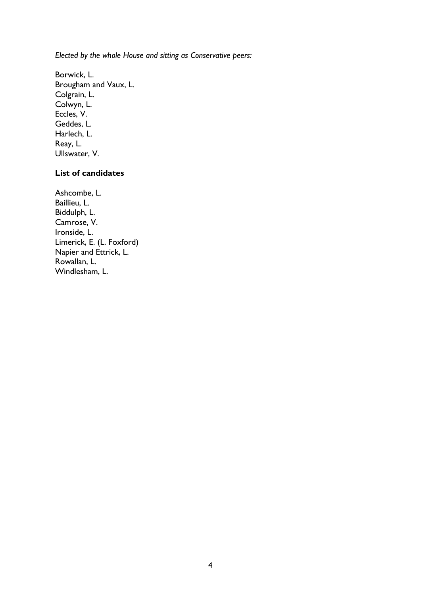*Elected by the whole House and sitting as Conservative peers:*

Borwick, L. Brougham and Vaux, L. Colgrain, L. Colwyn, L. Eccles, V. Geddes, L. Harlech, L. Reay, L. Ullswater, V.

# **List of candidates**

Ashcombe, L. Baillieu, L. Biddulph, L. Camrose, V. Ironside, L. Limerick, E. (L. Foxford) Napier and Ettrick, L. Rowallan, L. Windlesham, L.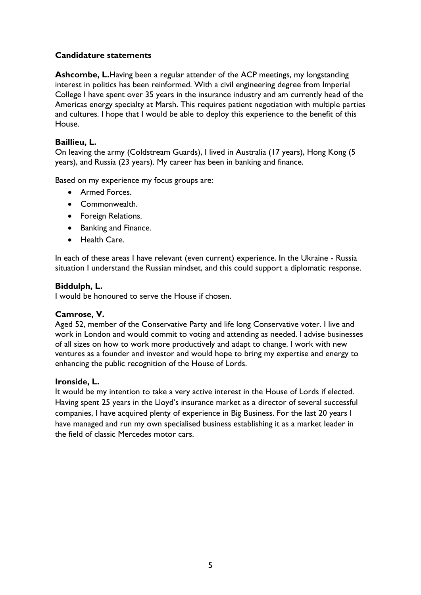## **Candidature statements**

**Ashcombe, L.**Having been a regular attender of the ACP meetings, my longstanding interest in politics has been reinformed. With a civil engineering degree from Imperial College I have spent over 35 years in the insurance industry and am currently head of the Americas energy specialty at Marsh. This requires patient negotiation with multiple parties and cultures. I hope that I would be able to deploy this experience to the benefit of this House.

## **Baillieu, L.**

On leaving the army (Coldstream Guards), I lived in Australia (17 years), Hong Kong (5 years), and Russia (23 years). My career has been in banking and finance.

Based on my experience my focus groups are:

- Armed Forces.
- Commonwealth.
- Foreign Relations.
- Banking and Finance.
- Health Care.

In each of these areas I have relevant (even current) experience. In the Ukraine - Russia situation I understand the Russian mindset, and this could support a diplomatic response.

#### **Biddulph, L.**

I would be honoured to serve the House if chosen.

#### **Camrose, V.**

Aged 52, member of the Conservative Party and life long Conservative voter. I live and work in London and would commit to voting and attending as needed. I advise businesses of all sizes on how to work more productively and adapt to change. I work with new ventures as a founder and investor and would hope to bring my expertise and energy to enhancing the public recognition of the House of Lords.

#### **Ironside, L.**

It would be my intention to take a very active interest in the House of Lords if elected. Having spent 25 years in the Lloyd's insurance market as a director of several successful companies, I have acquired plenty of experience in Big Business. For the last 20 years I have managed and run my own specialised business establishing it as a market leader in the field of classic Mercedes motor cars.